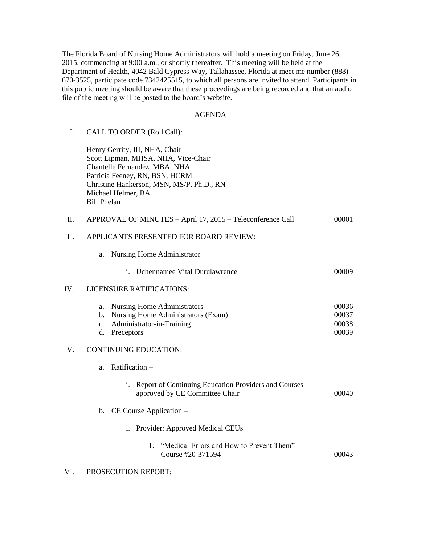The Florida Board of Nursing Home Administrators will hold a meeting on Friday, June 26, 2015, commencing at 9:00 a.m., or shortly thereafter. This meeting will be held at the Department of Health, 4042 Bald Cypress Way, Tallahassee, Florida at meet me number (888) 670-3525, participate code 7342425515, to which all persons are invited to attend. Participants in this public meeting should be aware that these proceedings are being recorded and that an audio file of the meeting will be posted to the board's website.

### AGENDA

### I. CALL TO ORDER (Roll Call):

Henry Gerrity, III, NHA, Chair Scott Lipman, MHSA, NHA, Vice-Chair Chantelle Fernandez, MBA, NHA Patricia Feeney, RN, BSN, HCRM Christine Hankerson, MSN, MS/P, Ph.D., RN Michael Helmer, BA Bill Phelan

|  | APPROVAL OF MINUTES – April 17, 2015 – Teleconference Call |  | 00001 |
|--|------------------------------------------------------------|--|-------|
|--|------------------------------------------------------------|--|-------|

### III. APPLICANTS PRESENTED FOR BOARD REVIEW:

a. Nursing Home Administrator

### i. Uchennamee Vital Durulawrence 00009

### IV. LICENSURE RATIFICATIONS:

| a. Nursing Home Administrators        | 00036 |
|---------------------------------------|-------|
| b. Nursing Home Administrators (Exam) | 00037 |
| c. Administrator-in-Training          | 00038 |
| d. Preceptors                         | 00039 |

### V. CONTINUING EDUCATION:

| Ratification – |  |
|----------------|--|
|----------------|--|

| i. Report of Continuing Education Providers and Courses |       |
|---------------------------------------------------------|-------|
| approved by CE Committee Chair                          | 00040 |

## b. CE Course Application –

- i. Provider: Approved Medical CEUs
	- 1. "Medical Errors and How to Prevent Them" Course #20-371594 00043

## VI. PROSECUTION REPORT: